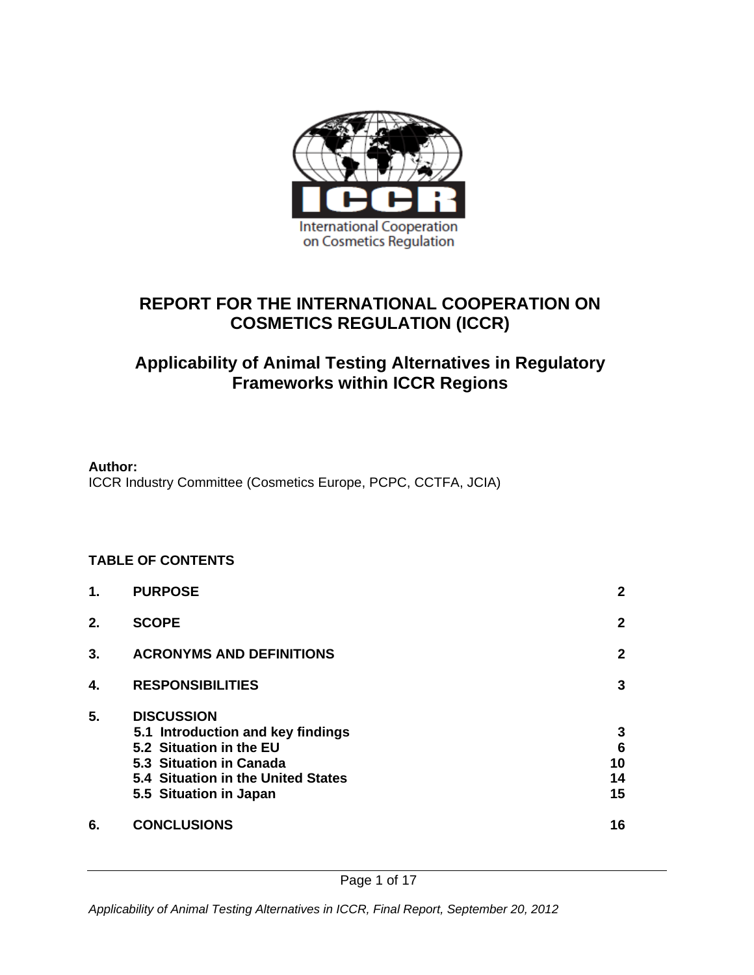

## **REPORT FOR THE INTERNATIONAL COOPERATION ON COSMETICS REGULATION (ICCR)**

## **Applicability of Animal Testing Alternatives in Regulatory Frameworks within ICCR Regions**

#### **Author:**

ICCR Industry Committee (Cosmetics Europe, PCPC, CCTFA, JCIA)

#### **TABLE OF CONTENTS**

| 1. | <b>PURPOSE</b>                                                                                                                                                               | $\mathbf{2}$                           |
|----|------------------------------------------------------------------------------------------------------------------------------------------------------------------------------|----------------------------------------|
| 2. | <b>SCOPE</b>                                                                                                                                                                 | $\mathbf{2}$                           |
| 3. | <b>ACRONYMS AND DEFINITIONS</b>                                                                                                                                              | $\mathbf{2}$                           |
| 4. | <b>RESPONSIBILITIES</b>                                                                                                                                                      | 3                                      |
| 5. | <b>DISCUSSION</b><br>5.1 Introduction and key findings<br>5.2 Situation in the EU<br>5.3 Situation in Canada<br>5.4 Situation in the United States<br>5.5 Situation in Japan | 3<br>$6\phantom{1}6$<br>10<br>14<br>15 |
| 6. | <b>CONCLUSIONS</b>                                                                                                                                                           | 16                                     |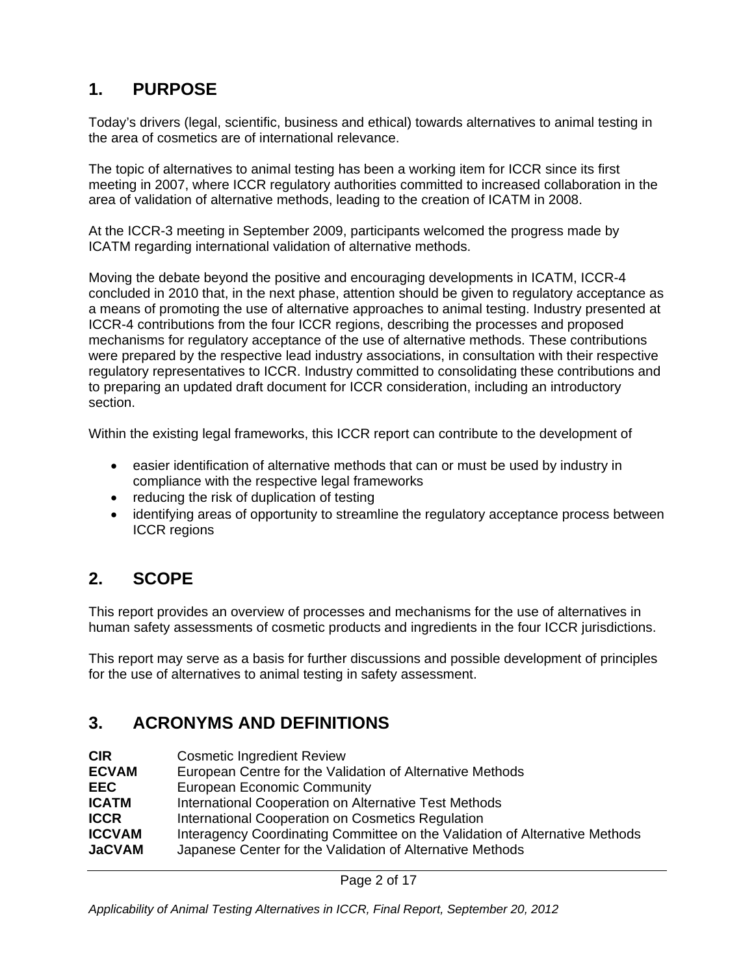# **1. PURPOSE**

Today's drivers (legal, scientific, business and ethical) towards alternatives to animal testing in the area of cosmetics are of international relevance.

The topic of alternatives to animal testing has been a working item for ICCR since its first meeting in 2007, where ICCR regulatory authorities committed to increased collaboration in the area of validation of alternative methods, leading to the creation of ICATM in 2008.

At the ICCR-3 meeting in September 2009, participants welcomed the progress made by ICATM regarding international validation of alternative methods.

Moving the debate beyond the positive and encouraging developments in ICATM, ICCR-4 concluded in 2010 that, in the next phase, attention should be given to regulatory acceptance as a means of promoting the use of alternative approaches to animal testing. Industry presented at ICCR-4 contributions from the four ICCR regions, describing the processes and proposed mechanisms for regulatory acceptance of the use of alternative methods. These contributions were prepared by the respective lead industry associations, in consultation with their respective regulatory representatives to ICCR. Industry committed to consolidating these contributions and to preparing an updated draft document for ICCR consideration, including an introductory section.

Within the existing legal frameworks, this ICCR report can contribute to the development of

- easier identification of alternative methods that can or must be used by industry in compliance with the respective legal frameworks
- reducing the risk of duplication of testing
- identifying areas of opportunity to streamline the regulatory acceptance process between ICCR regions

## **2. SCOPE**

This report provides an overview of processes and mechanisms for the use of alternatives in human safety assessments of cosmetic products and ingredients in the four ICCR jurisdictions.

This report may serve as a basis for further discussions and possible development of principles for the use of alternatives to animal testing in safety assessment.

# **3. ACRONYMS AND DEFINITIONS**

**CIR Cosmetic Ingredient Review** 

| <b>ECVAM</b>  | European Centre for the Validation of Alternative Methods                   |  |
|---------------|-----------------------------------------------------------------------------|--|
| <b>EEC</b>    | European Economic Community                                                 |  |
| <b>ICATM</b>  | International Cooperation on Alternative Test Methods                       |  |
| <b>ICCR</b>   | International Cooperation on Cosmetics Regulation                           |  |
| <b>ICCVAM</b> | Interagency Coordinating Committee on the Validation of Alternative Methods |  |
| <b>JaCVAM</b> | Japanese Center for the Validation of Alternative Methods                   |  |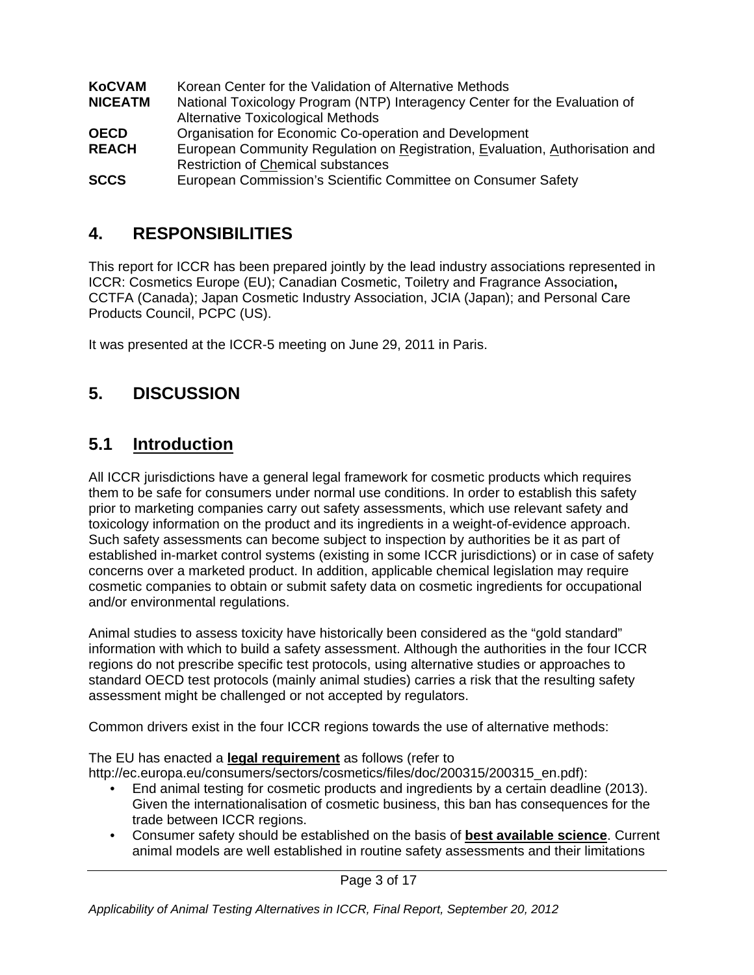| <b>KoCVAM</b>  | Korean Center for the Validation of Alternative Methods                      |
|----------------|------------------------------------------------------------------------------|
| <b>NICEATM</b> | National Toxicology Program (NTP) Interagency Center for the Evaluation of   |
|                | <b>Alternative Toxicological Methods</b>                                     |
| <b>OECD</b>    | Organisation for Economic Co-operation and Development                       |
| <b>REACH</b>   | European Community Regulation on Registration, Evaluation, Authorisation and |
|                | <b>Restriction of Chemical substances</b>                                    |
| <b>SCCS</b>    | European Commission's Scientific Committee on Consumer Safety                |

## **4. RESPONSIBILITIES**

This report for ICCR has been prepared jointly by the lead industry associations represented in ICCR: Cosmetics Europe (EU); Canadian Cosmetic, Toiletry and Fragrance Association**,**  CCTFA (Canada); Japan Cosmetic Industry Association, JCIA (Japan); and Personal Care Products Council, PCPC (US).

It was presented at the ICCR-5 meeting on June 29, 2011 in Paris.

# **5. DISCUSSION**

## **5.1 Introduction**

All ICCR jurisdictions have a general legal framework for cosmetic products which requires them to be safe for consumers under normal use conditions. In order to establish this safety prior to marketing companies carry out safety assessments, which use relevant safety and toxicology information on the product and its ingredients in a weight-of-evidence approach. Such safety assessments can become subject to inspection by authorities be it as part of established in-market control systems (existing in some ICCR jurisdictions) or in case of safety concerns over a marketed product. In addition, applicable chemical legislation may require cosmetic companies to obtain or submit safety data on cosmetic ingredients for occupational and/or environmental regulations.

Animal studies to assess toxicity have historically been considered as the "gold standard" information with which to build a safety assessment. Although the authorities in the four ICCR regions do not prescribe specific test protocols, using alternative studies or approaches to standard OECD test protocols (mainly animal studies) carries a risk that the resulting safety assessment might be challenged or not accepted by regulators.

Common drivers exist in the four ICCR regions towards the use of alternative methods:

The EU has enacted a **legal requirement** as follows (refer to

http://ec.europa.eu/consumers/sectors/cosmetics/files/doc/200315/200315\_en.pdf):

- End animal testing for cosmetic products and ingredients by a certain deadline (2013). Given the internationalisation of cosmetic business, this ban has consequences for the trade between ICCR regions.
- Consumer safety should be established on the basis of **best available science**. Current animal models are well established in routine safety assessments and their limitations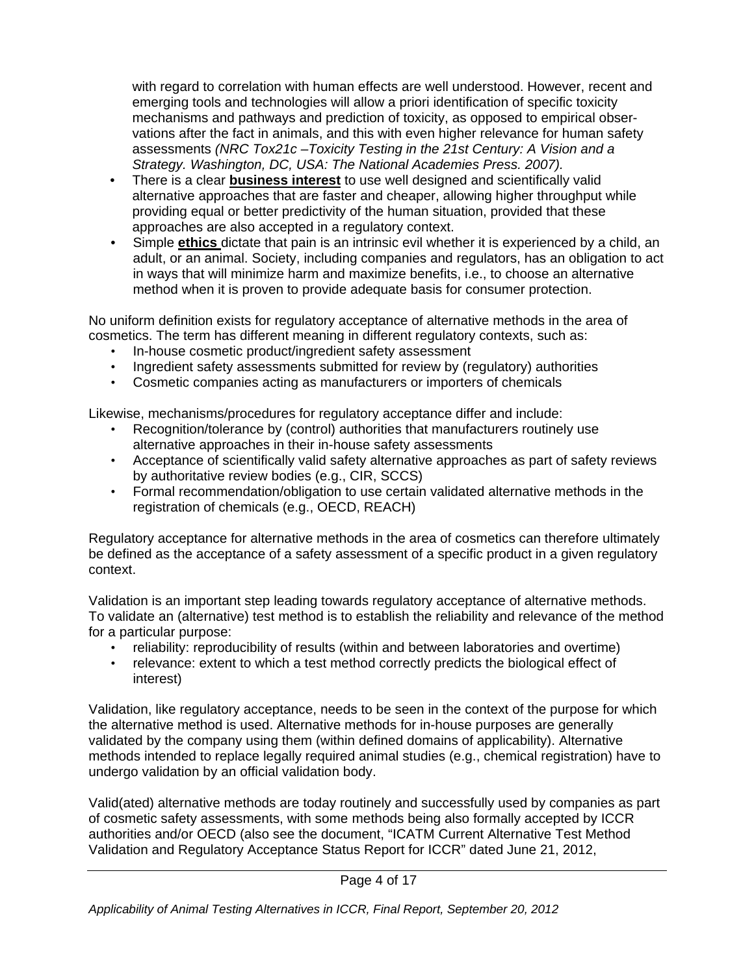with regard to correlation with human effects are well understood. However, recent and emerging tools and technologies will allow a priori identification of specific toxicity mechanisms and pathways and prediction of toxicity, as opposed to empirical observations after the fact in animals, and this with even higher relevance for human safety assessments *(NRC Tox21c –Toxicity Testing in the 21st Century: A Vision and a Strategy. Washington, DC, USA: The National Academies Press. 2007).* 

- There is a clear **business interest** to use well designed and scientifically valid alternative approaches that are faster and cheaper, allowing higher throughput while providing equal or better predictivity of the human situation, provided that these approaches are also accepted in a regulatory context.
- Simple **ethics** dictate that pain is an intrinsic evil whether it is experienced by a child, an adult, or an animal. Society, including companies and regulators, has an obligation to act in ways that will minimize harm and maximize benefits, i.e., to choose an alternative method when it is proven to provide adequate basis for consumer protection.

No uniform definition exists for regulatory acceptance of alternative methods in the area of cosmetics. The term has different meaning in different regulatory contexts, such as:

- In-house cosmetic product/ingredient safety assessment
- Ingredient safety assessments submitted for review by (regulatory) authorities
- Cosmetic companies acting as manufacturers or importers of chemicals

Likewise, mechanisms/procedures for regulatory acceptance differ and include:

- Recognition/tolerance by (control) authorities that manufacturers routinely use alternative approaches in their in-house safety assessments
- Acceptance of scientifically valid safety alternative approaches as part of safety reviews by authoritative review bodies (e.g., CIR, SCCS)
- Formal recommendation/obligation to use certain validated alternative methods in the registration of chemicals (e.g., OECD, REACH)

Regulatory acceptance for alternative methods in the area of cosmetics can therefore ultimately be defined as the acceptance of a safety assessment of a specific product in a given regulatory context.

Validation is an important step leading towards regulatory acceptance of alternative methods. To validate an (alternative) test method is to establish the reliability and relevance of the method for a particular purpose:

- reliability: reproducibility of results (within and between laboratories and overtime)
- relevance: extent to which a test method correctly predicts the biological effect of interest)

Validation, like regulatory acceptance, needs to be seen in the context of the purpose for which the alternative method is used. Alternative methods for in-house purposes are generally validated by the company using them (within defined domains of applicability). Alternative methods intended to replace legally required animal studies (e.g., chemical registration) have to undergo validation by an official validation body.

Valid(ated) alternative methods are today routinely and successfully used by companies as part of cosmetic safety assessments, with some methods being also formally accepted by ICCR authorities and/or OECD (also see the document, "ICATM Current Alternative Test Method Validation and Regulatory Acceptance Status Report for ICCR" dated June 21, 2012,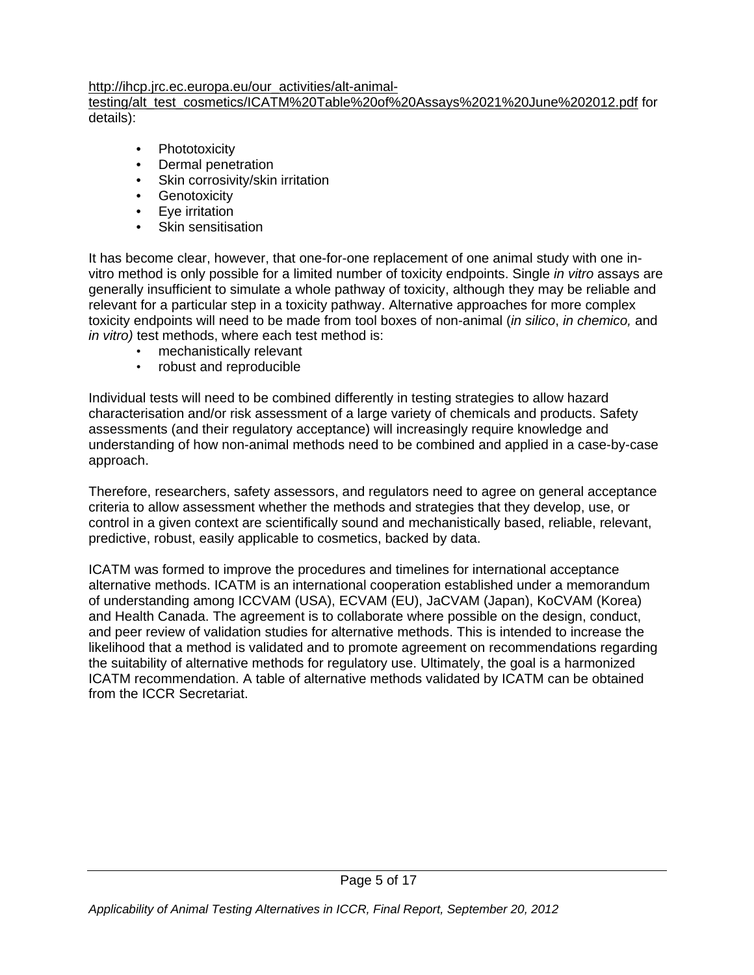#### http://ihcp.jrc.ec.europa.eu/our\_activities/alt-animal-

testing/alt\_test\_cosmetics/ICATM%20Table%20of%20Assays%2021%20June%202012.pdf for details):

- **Phototoxicity**
- Dermal penetration
- Skin corrosivity/skin irritation
- Genotoxicity
- Eye irritation
- Skin sensitisation

It has become clear, however, that one-for-one replacement of one animal study with one invitro method is only possible for a limited number of toxicity endpoints. Single *in vitro* assays are generally insufficient to simulate a whole pathway of toxicity, although they may be reliable and relevant for a particular step in a toxicity pathway. Alternative approaches for more complex toxicity endpoints will need to be made from tool boxes of non-animal (*in silico*, *in chemico,* and *in vitro)* test methods, where each test method is:

- mechanistically relevant
- robust and reproducible

Individual tests will need to be combined differently in testing strategies to allow hazard characterisation and/or risk assessment of a large variety of chemicals and products. Safety assessments (and their regulatory acceptance) will increasingly require knowledge and understanding of how non-animal methods need to be combined and applied in a case-by-case approach.

Therefore, researchers, safety assessors, and regulators need to agree on general acceptance criteria to allow assessment whether the methods and strategies that they develop, use, or control in a given context are scientifically sound and mechanistically based, reliable, relevant, predictive, robust, easily applicable to cosmetics, backed by data.

ICATM was formed to improve the procedures and timelines for international acceptance alternative methods. ICATM is an international cooperation established under a memorandum of understanding among ICCVAM (USA), ECVAM (EU), JaCVAM (Japan), KoCVAM (Korea) and Health Canada. The agreement is to collaborate where possible on the design, conduct, and peer review of validation studies for alternative methods. This is intended to increase the likelihood that a method is validated and to promote agreement on recommendations regarding the suitability of alternative methods for regulatory use. Ultimately, the goal is a harmonized ICATM recommendation. A table of alternative methods validated by ICATM can be obtained from the ICCR Secretariat.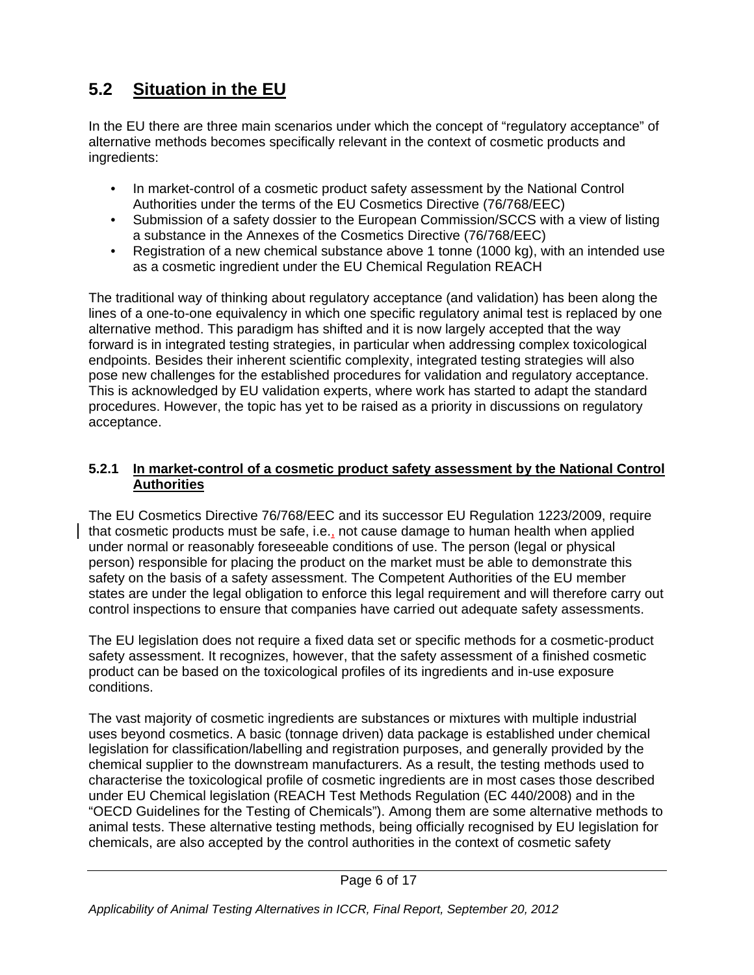# **5.2 Situation in the EU**

In the EU there are three main scenarios under which the concept of "regulatory acceptance" of alternative methods becomes specifically relevant in the context of cosmetic products and ingredients:

- In market-control of a cosmetic product safety assessment by the National Control Authorities under the terms of the EU Cosmetics Directive (76/768/EEC)
- Submission of a safety dossier to the European Commission/SCCS with a view of listing a substance in the Annexes of the Cosmetics Directive (76/768/EEC)
- Registration of a new chemical substance above 1 tonne (1000 kg), with an intended use as a cosmetic ingredient under the EU Chemical Regulation REACH

The traditional way of thinking about regulatory acceptance (and validation) has been along the lines of a one-to-one equivalency in which one specific regulatory animal test is replaced by one alternative method. This paradigm has shifted and it is now largely accepted that the way forward is in integrated testing strategies, in particular when addressing complex toxicological endpoints. Besides their inherent scientific complexity, integrated testing strategies will also pose new challenges for the established procedures for validation and regulatory acceptance. This is acknowledged by EU validation experts, where work has started to adapt the standard procedures. However, the topic has yet to be raised as a priority in discussions on regulatory acceptance.

#### **5.2.1 In market-control of a cosmetic product safety assessment by the National Control Authorities**

The EU Cosmetics Directive 76/768/EEC and its successor EU Regulation 1223/2009, require that cosmetic products must be safe, i.e., not cause damage to human health when applied under normal or reasonably foreseeable conditions of use. The person (legal or physical person) responsible for placing the product on the market must be able to demonstrate this safety on the basis of a safety assessment. The Competent Authorities of the EU member states are under the legal obligation to enforce this legal requirement and will therefore carry out control inspections to ensure that companies have carried out adequate safety assessments.

The EU legislation does not require a fixed data set or specific methods for a cosmetic-product safety assessment. It recognizes, however, that the safety assessment of a finished cosmetic product can be based on the toxicological profiles of its ingredients and in-use exposure conditions.

The vast majority of cosmetic ingredients are substances or mixtures with multiple industrial uses beyond cosmetics. A basic (tonnage driven) data package is established under chemical legislation for classification/labelling and registration purposes, and generally provided by the chemical supplier to the downstream manufacturers. As a result, the testing methods used to characterise the toxicological profile of cosmetic ingredients are in most cases those described under EU Chemical legislation (REACH Test Methods Regulation (EC 440/2008) and in the "OECD Guidelines for the Testing of Chemicals"). Among them are some alternative methods to animal tests. These alternative testing methods, being officially recognised by EU legislation for chemicals, are also accepted by the control authorities in the context of cosmetic safety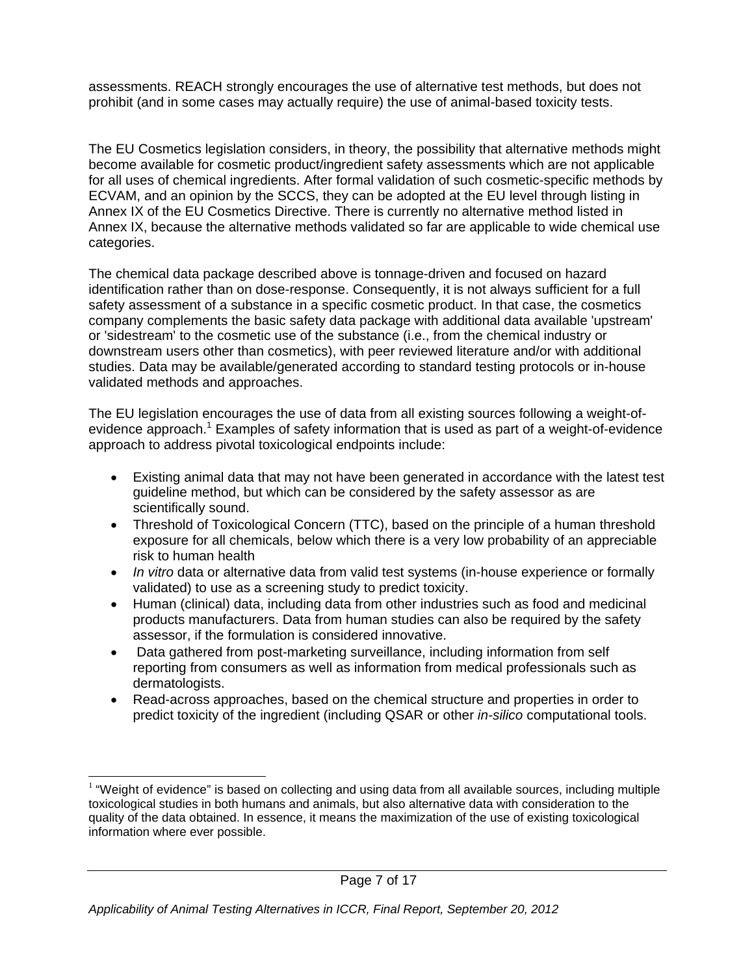assessments. REACH strongly encourages the use of alternative test methods, but does not prohibit (and in some cases may actually require) the use of animal-based toxicity tests.

The EU Cosmetics legislation considers, in theory, the possibility that alternative methods might become available for cosmetic product/ingredient safety assessments which are not applicable for all uses of chemical ingredients. After formal validation of such cosmetic-specific methods by ECVAM, and an opinion by the SCCS, they can be adopted at the EU level through listing in Annex IX of the EU Cosmetics Directive. There is currently no alternative method listed in Annex IX, because the alternative methods validated so far are applicable to wide chemical use categories.

The chemical data package described above is tonnage-driven and focused on hazard identification rather than on dose-response. Consequently, it is not always sufficient for a full safety assessment of a substance in a specific cosmetic product. In that case, the cosmetics company complements the basic safety data package with additional data available 'upstream' or 'sidestream' to the cosmetic use of the substance (i.e., from the chemical industry or downstream users other than cosmetics), with peer reviewed literature and/or with additional studies. Data may be available/generated according to standard testing protocols or in-house validated methods and approaches.

The EU legislation encourages the use of data from all existing sources following a weight-ofevidence approach.<sup>1</sup> Examples of safety information that is used as part of a weight-of-evidence approach to address pivotal toxicological endpoints include:

- Existing animal data that may not have been generated in accordance with the latest test guideline method, but which can be considered by the safety assessor as are scientifically sound.
- Threshold of Toxicological Concern (TTC), based on the principle of a human threshold exposure for all chemicals, below which there is a very low probability of an appreciable risk to human health
- *In vitro* data or alternative data from valid test systems (in-house experience or formally validated) to use as a screening study to predict toxicity.
- Human (clinical) data, including data from other industries such as food and medicinal products manufacturers. Data from human studies can also be required by the safety assessor, if the formulation is considered innovative.
- Data gathered from post-marketing surveillance, including information from self reporting from consumers as well as information from medical professionals such as dermatologists.
- Read-across approaches, based on the chemical structure and properties in order to predict toxicity of the ingredient (including QSAR or other *in-silico* computational tools.

<sup>1</sup>  $1$  "Weight of evidence" is based on collecting and using data from all available sources, including multiple toxicological studies in both humans and animals, but also alternative data with consideration to the quality of the data obtained. In essence, it means the maximization of the use of existing toxicological information where ever possible.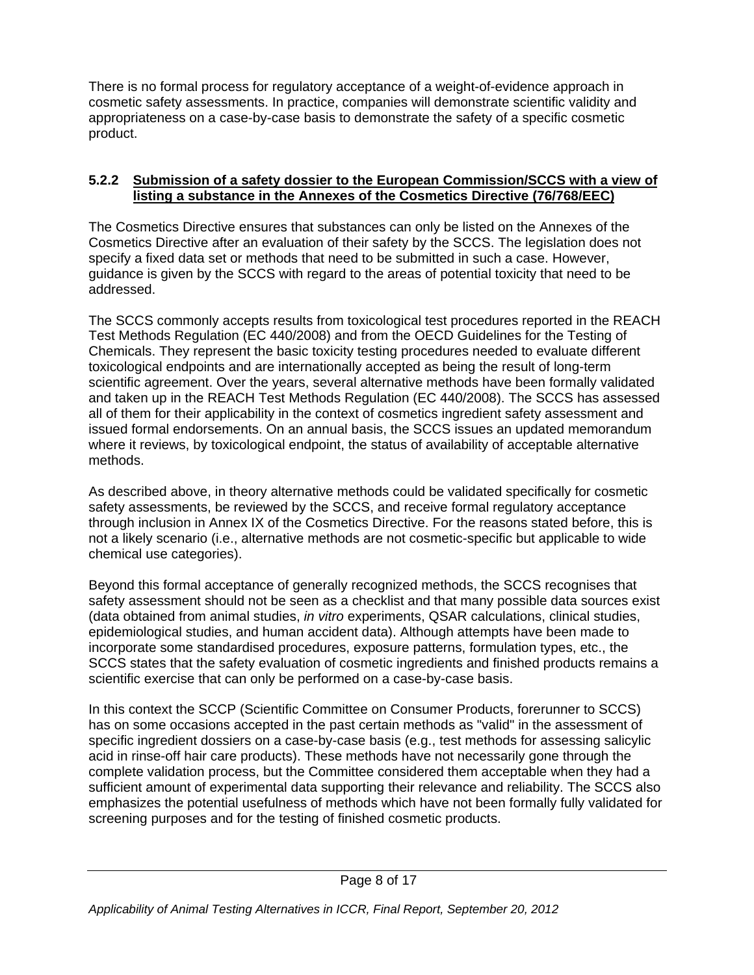There is no formal process for regulatory acceptance of a weight-of-evidence approach in cosmetic safety assessments. In practice, companies will demonstrate scientific validity and appropriateness on a case-by-case basis to demonstrate the safety of a specific cosmetic product.

#### **5.2.2 Submission of a safety dossier to the European Commission/SCCS with a view of listing a substance in the Annexes of the Cosmetics Directive (76/768/EEC)**

The Cosmetics Directive ensures that substances can only be listed on the Annexes of the Cosmetics Directive after an evaluation of their safety by the SCCS. The legislation does not specify a fixed data set or methods that need to be submitted in such a case. However, guidance is given by the SCCS with regard to the areas of potential toxicity that need to be addressed.

The SCCS commonly accepts results from toxicological test procedures reported in the REACH Test Methods Regulation (EC 440/2008) and from the OECD Guidelines for the Testing of Chemicals. They represent the basic toxicity testing procedures needed to evaluate different toxicological endpoints and are internationally accepted as being the result of long-term scientific agreement. Over the years, several alternative methods have been formally validated and taken up in the REACH Test Methods Regulation (EC 440/2008). The SCCS has assessed all of them for their applicability in the context of cosmetics ingredient safety assessment and issued formal endorsements. On an annual basis, the SCCS issues an updated memorandum where it reviews, by toxicological endpoint, the status of availability of acceptable alternative methods.

As described above, in theory alternative methods could be validated specifically for cosmetic safety assessments, be reviewed by the SCCS, and receive formal regulatory acceptance through inclusion in Annex IX of the Cosmetics Directive. For the reasons stated before, this is not a likely scenario (i.e., alternative methods are not cosmetic-specific but applicable to wide chemical use categories).

Beyond this formal acceptance of generally recognized methods, the SCCS recognises that safety assessment should not be seen as a checklist and that many possible data sources exist (data obtained from animal studies, *in vitro* experiments, QSAR calculations, clinical studies, epidemiological studies, and human accident data). Although attempts have been made to incorporate some standardised procedures, exposure patterns, formulation types, etc., the SCCS states that the safety evaluation of cosmetic ingredients and finished products remains a scientific exercise that can only be performed on a case-by-case basis.

In this context the SCCP (Scientific Committee on Consumer Products, forerunner to SCCS) has on some occasions accepted in the past certain methods as "valid" in the assessment of specific ingredient dossiers on a case-by-case basis (e.g., test methods for assessing salicylic acid in rinse-off hair care products). These methods have not necessarily gone through the complete validation process, but the Committee considered them acceptable when they had a sufficient amount of experimental data supporting their relevance and reliability. The SCCS also emphasizes the potential usefulness of methods which have not been formally fully validated for screening purposes and for the testing of finished cosmetic products.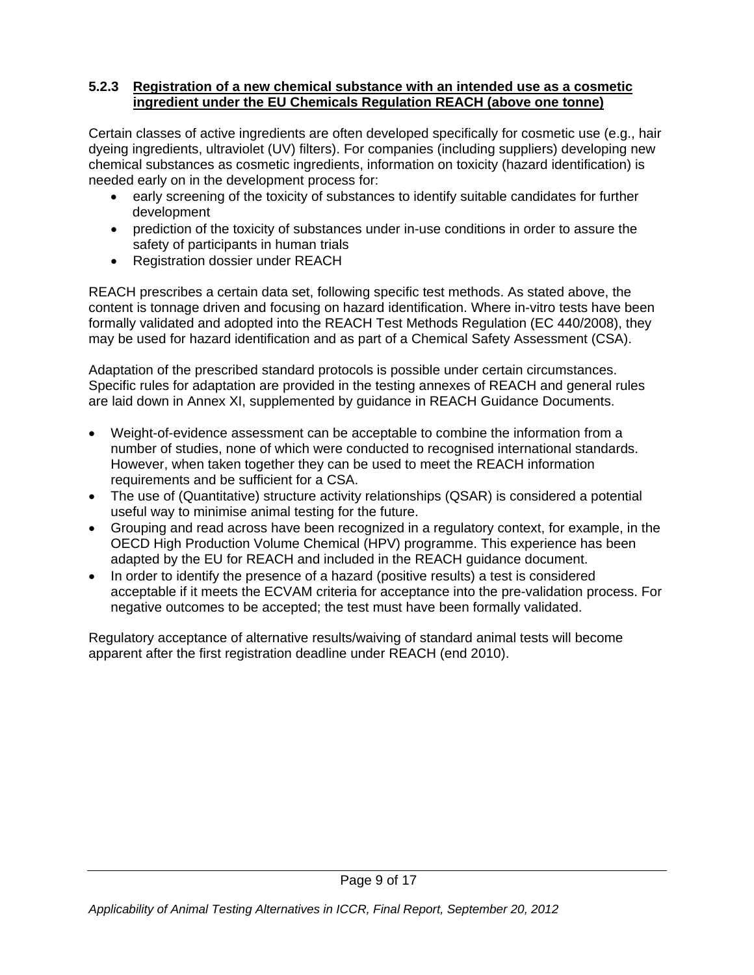#### **5.2.3 Registration of a new chemical substance with an intended use as a cosmetic ingredient under the EU Chemicals Regulation REACH (above one tonne)**

Certain classes of active ingredients are often developed specifically for cosmetic use (e.g., hair dyeing ingredients, ultraviolet (UV) filters). For companies (including suppliers) developing new chemical substances as cosmetic ingredients, information on toxicity (hazard identification) is needed early on in the development process for:

- early screening of the toxicity of substances to identify suitable candidates for further development
- prediction of the toxicity of substances under in-use conditions in order to assure the safety of participants in human trials
- Registration dossier under REACH

REACH prescribes a certain data set, following specific test methods. As stated above, the content is tonnage driven and focusing on hazard identification. Where in-vitro tests have been formally validated and adopted into the REACH Test Methods Regulation (EC 440/2008), they may be used for hazard identification and as part of a Chemical Safety Assessment (CSA).

Adaptation of the prescribed standard protocols is possible under certain circumstances. Specific rules for adaptation are provided in the testing annexes of REACH and general rules are laid down in Annex XI, supplemented by guidance in REACH Guidance Documents.

- Weight-of-evidence assessment can be acceptable to combine the information from a number of studies, none of which were conducted to recognised international standards. However, when taken together they can be used to meet the REACH information requirements and be sufficient for a CSA.
- The use of (Quantitative) structure activity relationships (QSAR) is considered a potential useful way to minimise animal testing for the future.
- Grouping and read across have been recognized in a regulatory context, for example, in the OECD High Production Volume Chemical (HPV) programme. This experience has been adapted by the EU for REACH and included in the REACH guidance document.
- In order to identify the presence of a hazard (positive results) a test is considered acceptable if it meets the ECVAM criteria for acceptance into the pre-validation process. For negative outcomes to be accepted; the test must have been formally validated.

Regulatory acceptance of alternative results/waiving of standard animal tests will become apparent after the first registration deadline under REACH (end 2010).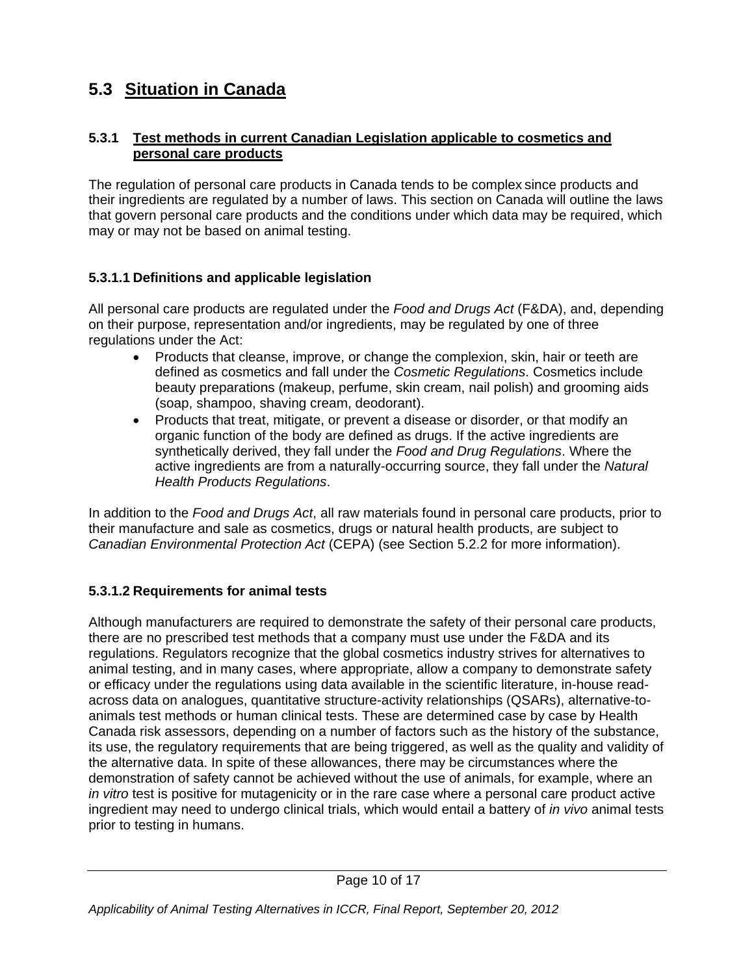# **5.3 Situation in Canada**

#### **5.3.1 Test methods in current Canadian Legislation applicable to cosmetics and personal care products**

The regulation of personal care products in Canada tends to be complex since products and their ingredients are regulated by a number of laws. This section on Canada will outline the laws that govern personal care products and the conditions under which data may be required, which may or may not be based on animal testing.

#### **5.3.1.1 Definitions and applicable legislation**

All personal care products are regulated under the *Food and Drugs Act* (F&DA), and, depending on their purpose, representation and/or ingredients, may be regulated by one of three regulations under the Act:

- Products that cleanse, improve, or change the complexion, skin, hair or teeth are defined as cosmetics and fall under the *Cosmetic Regulations*. Cosmetics include beauty preparations (makeup, perfume, skin cream, nail polish) and grooming aids (soap, shampoo, shaving cream, deodorant).
- Products that treat, mitigate, or prevent a disease or disorder, or that modify an organic function of the body are defined as drugs. If the active ingredients are synthetically derived, they fall under the *Food and Drug Regulations*. Where the active ingredients are from a naturally-occurring source, they fall under the *Natural Health Products Regulations*.

In addition to the *Food and Drugs Act*, all raw materials found in personal care products, prior to their manufacture and sale as cosmetics, drugs or natural health products, are subject to *Canadian Environmental Protection Act* (CEPA) (see Section 5.2.2 for more information).

#### **5.3.1.2 Requirements for animal tests**

Although manufacturers are required to demonstrate the safety of their personal care products, there are no prescribed test methods that a company must use under the F&DA and its regulations. Regulators recognize that the global cosmetics industry strives for alternatives to animal testing, and in many cases, where appropriate, allow a company to demonstrate safety or efficacy under the regulations using data available in the scientific literature, in-house readacross data on analogues, quantitative structure-activity relationships (QSARs), alternative-toanimals test methods or human clinical tests. These are determined case by case by Health Canada risk assessors, depending on a number of factors such as the history of the substance, its use, the regulatory requirements that are being triggered, as well as the quality and validity of the alternative data. In spite of these allowances, there may be circumstances where the demonstration of safety cannot be achieved without the use of animals, for example, where an *in vitro* test is positive for mutagenicity or in the rare case where a personal care product active ingredient may need to undergo clinical trials, which would entail a battery of *in vivo* animal tests prior to testing in humans.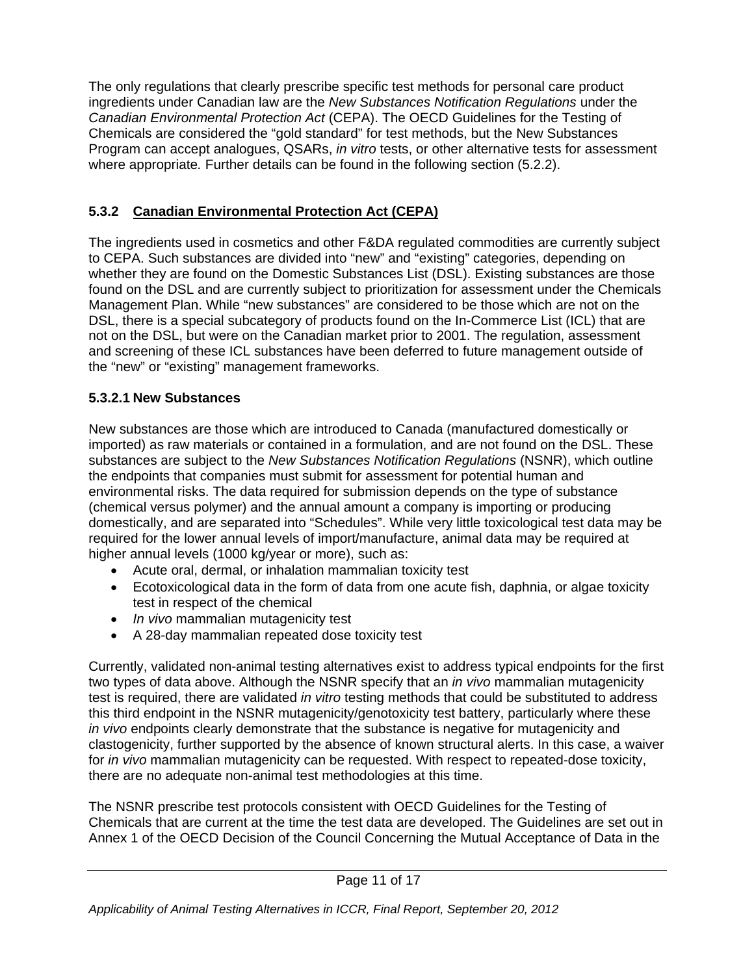The only regulations that clearly prescribe specific test methods for personal care product ingredients under Canadian law are the *New Substances Notification Regulations* under the *Canadian Environmental Protection Act* (CEPA). The OECD Guidelines for the Testing of Chemicals are considered the "gold standard" for test methods, but the New Substances Program can accept analogues, QSARs, *in vitro* tests, or other alternative tests for assessment where appropriate*.* Further details can be found in the following section (5.2.2).

#### **5.3.2 Canadian Environmental Protection Act (CEPA)**

The ingredients used in cosmetics and other F&DA regulated commodities are currently subject to CEPA. Such substances are divided into "new" and "existing" categories, depending on whether they are found on the Domestic Substances List (DSL). Existing substances are those found on the DSL and are currently subject to prioritization for assessment under the Chemicals Management Plan. While "new substances" are considered to be those which are not on the DSL, there is a special subcategory of products found on the In-Commerce List (ICL) that are not on the DSL, but were on the Canadian market prior to 2001. The regulation, assessment and screening of these ICL substances have been deferred to future management outside of the "new" or "existing" management frameworks.

### **5.3.2.1 New Substances**

New substances are those which are introduced to Canada (manufactured domestically or imported) as raw materials or contained in a formulation, and are not found on the DSL. These substances are subject to the *New Substances Notification Regulations* (NSNR), which outline the endpoints that companies must submit for assessment for potential human and environmental risks. The data required for submission depends on the type of substance (chemical versus polymer) and the annual amount a company is importing or producing domestically, and are separated into "Schedules". While very little toxicological test data may be required for the lower annual levels of import/manufacture, animal data may be required at higher annual levels (1000 kg/year or more), such as:

- Acute oral, dermal, or inhalation mammalian toxicity test
- Ecotoxicological data in the form of data from one acute fish, daphnia, or algae toxicity test in respect of the chemical
- *In vivo* mammalian mutagenicity test
- A 28-day mammalian repeated dose toxicity test

Currently, validated non-animal testing alternatives exist to address typical endpoints for the first two types of data above. Although the NSNR specify that an *in vivo* mammalian mutagenicity test is required, there are validated *in vitro* testing methods that could be substituted to address this third endpoint in the NSNR mutagenicity/genotoxicity test battery, particularly where these *in vivo* endpoints clearly demonstrate that the substance is negative for mutagenicity and clastogenicity, further supported by the absence of known structural alerts. In this case, a waiver for *in vivo* mammalian mutagenicity can be requested. With respect to repeated-dose toxicity, there are no adequate non-animal test methodologies at this time.

The NSNR prescribe test protocols consistent with OECD Guidelines for the Testing of Chemicals that are current at the time the test data are developed. The Guidelines are set out in Annex 1 of the OECD Decision of the Council Concerning the Mutual Acceptance of Data in the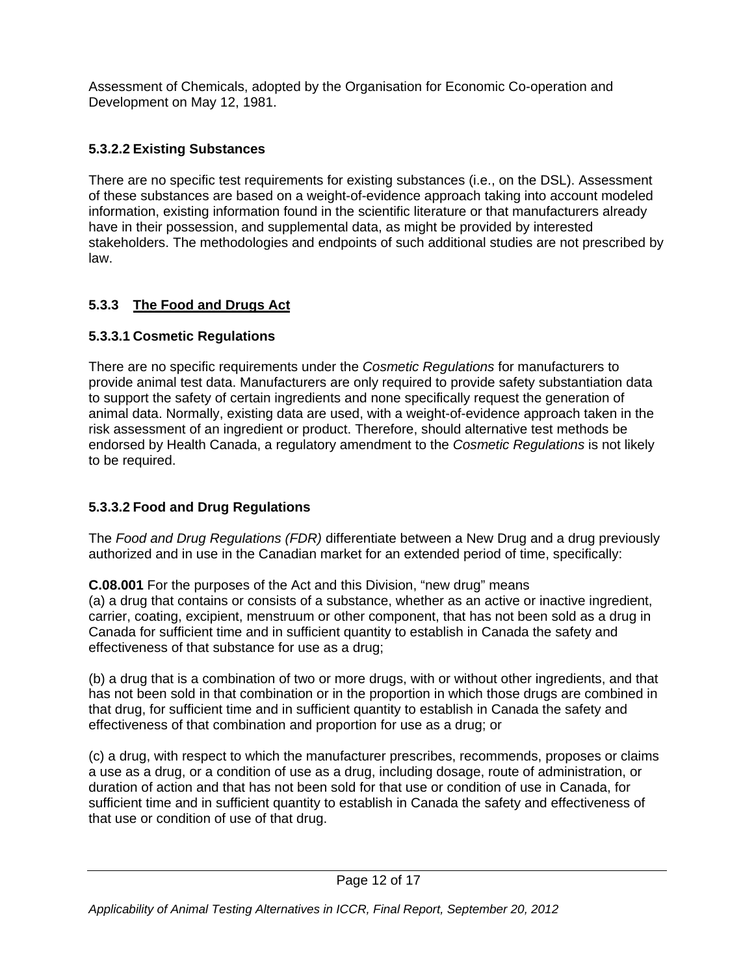Assessment of Chemicals, adopted by the Organisation for Economic Co-operation and Development on May 12, 1981.

#### **5.3.2.2 Existing Substances**

There are no specific test requirements for existing substances (i.e., on the DSL). Assessment of these substances are based on a weight-of-evidence approach taking into account modeled information, existing information found in the scientific literature or that manufacturers already have in their possession, and supplemental data, as might be provided by interested stakeholders. The methodologies and endpoints of such additional studies are not prescribed by law.

#### **5.3.3 The Food and Drugs Act**

#### **5.3.3.1 Cosmetic Regulations**

There are no specific requirements under the *Cosmetic Regulations* for manufacturers to provide animal test data. Manufacturers are only required to provide safety substantiation data to support the safety of certain ingredients and none specifically request the generation of animal data. Normally, existing data are used, with a weight-of-evidence approach taken in the risk assessment of an ingredient or product. Therefore, should alternative test methods be endorsed by Health Canada, a regulatory amendment to the *Cosmetic Regulations* is not likely to be required.

#### **5.3.3.2 Food and Drug Regulations**

The *Food and Drug Regulations (FDR)* differentiate between a New Drug and a drug previously authorized and in use in the Canadian market for an extended period of time, specifically:

**C.08.001** For the purposes of the Act and this Division, "new drug" means (a) a drug that contains or consists of a substance, whether as an active or inactive ingredient, carrier, coating, excipient, menstruum or other component, that has not been sold as a drug in Canada for sufficient time and in sufficient quantity to establish in Canada the safety and effectiveness of that substance for use as a drug;

(b) a drug that is a combination of two or more drugs, with or without other ingredients, and that has not been sold in that combination or in the proportion in which those drugs are combined in that drug, for sufficient time and in sufficient quantity to establish in Canada the safety and effectiveness of that combination and proportion for use as a drug; or

(c) a drug, with respect to which the manufacturer prescribes, recommends, proposes or claims a use as a drug, or a condition of use as a drug, including dosage, route of administration, or duration of action and that has not been sold for that use or condition of use in Canada, for sufficient time and in sufficient quantity to establish in Canada the safety and effectiveness of that use or condition of use of that drug.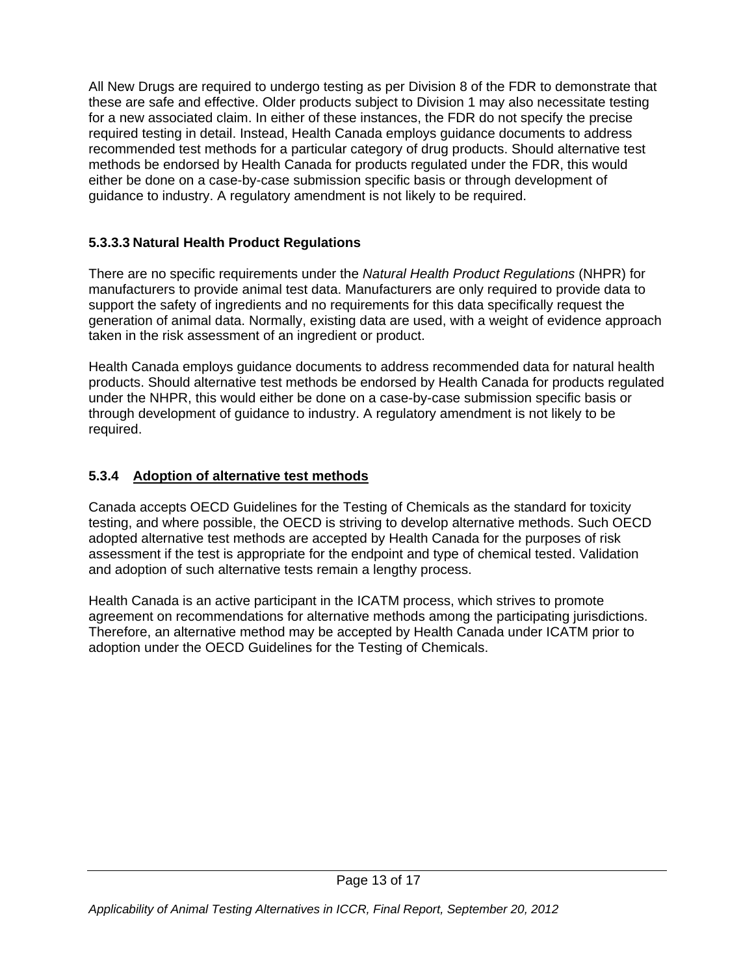All New Drugs are required to undergo testing as per Division 8 of the FDR to demonstrate that these are safe and effective. Older products subject to Division 1 may also necessitate testing for a new associated claim. In either of these instances, the FDR do not specify the precise required testing in detail. Instead, Health Canada employs guidance documents to address recommended test methods for a particular category of drug products. Should alternative test methods be endorsed by Health Canada for products regulated under the FDR, this would either be done on a case-by-case submission specific basis or through development of guidance to industry. A regulatory amendment is not likely to be required.

#### **5.3.3.3 Natural Health Product Regulations**

There are no specific requirements under the *Natural Health Product Regulations* (NHPR) for manufacturers to provide animal test data. Manufacturers are only required to provide data to support the safety of ingredients and no requirements for this data specifically request the generation of animal data. Normally, existing data are used, with a weight of evidence approach taken in the risk assessment of an ingredient or product.

Health Canada employs guidance documents to address recommended data for natural health products. Should alternative test methods be endorsed by Health Canada for products regulated under the NHPR, this would either be done on a case-by-case submission specific basis or through development of guidance to industry. A regulatory amendment is not likely to be required.

#### **5.3.4 Adoption of alternative test methods**

Canada accepts OECD Guidelines for the Testing of Chemicals as the standard for toxicity testing, and where possible, the OECD is striving to develop alternative methods. Such OECD adopted alternative test methods are accepted by Health Canada for the purposes of risk assessment if the test is appropriate for the endpoint and type of chemical tested. Validation and adoption of such alternative tests remain a lengthy process.

Health Canada is an active participant in the ICATM process, which strives to promote agreement on recommendations for alternative methods among the participating jurisdictions. Therefore, an alternative method may be accepted by Health Canada under ICATM prior to adoption under the OECD Guidelines for the Testing of Chemicals.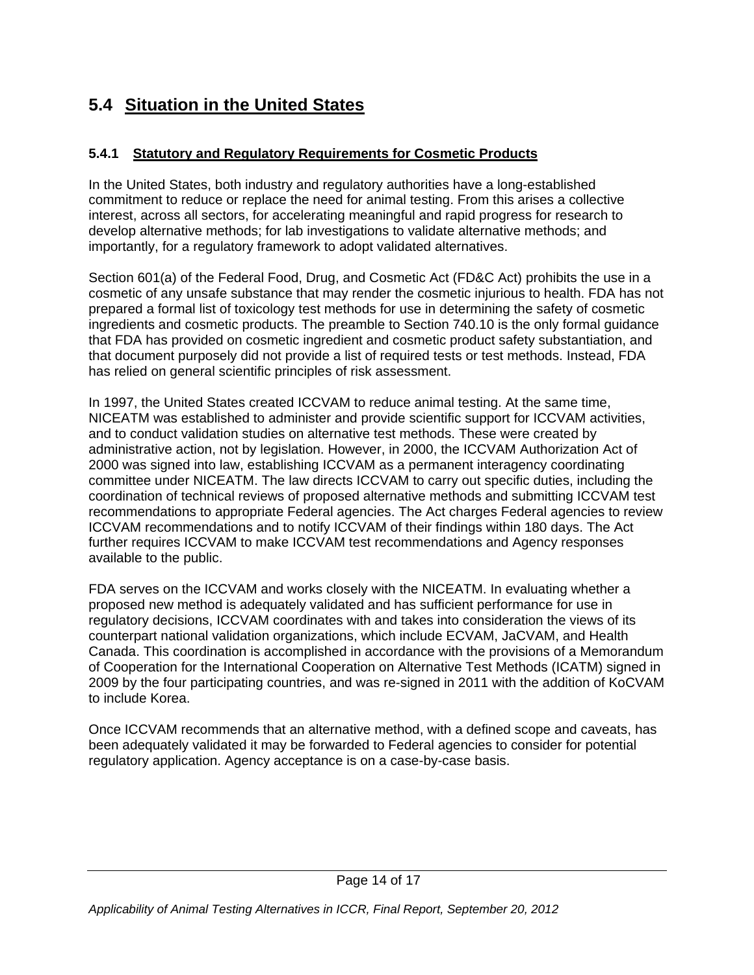# **5.4 Situation in the United States**

#### **5.4.1 Statutory and Regulatory Requirements for Cosmetic Products**

In the United States, both industry and regulatory authorities have a long-established commitment to reduce or replace the need for animal testing. From this arises a collective interest, across all sectors, for accelerating meaningful and rapid progress for research to develop alternative methods; for lab investigations to validate alternative methods; and importantly, for a regulatory framework to adopt validated alternatives.

Section 601(a) of the Federal Food, Drug, and Cosmetic Act (FD&C Act) prohibits the use in a cosmetic of any unsafe substance that may render the cosmetic injurious to health. FDA has not prepared a formal list of toxicology test methods for use in determining the safety of cosmetic ingredients and cosmetic products. The preamble to Section 740.10 is the only formal guidance that FDA has provided on cosmetic ingredient and cosmetic product safety substantiation, and that document purposely did not provide a list of required tests or test methods. Instead, FDA has relied on general scientific principles of risk assessment.

In 1997, the United States created ICCVAM to reduce animal testing. At the same time, NICEATM was established to administer and provide scientific support for ICCVAM activities, and to conduct validation studies on alternative test methods. These were created by administrative action, not by legislation. However, in 2000, the ICCVAM Authorization Act of 2000 was signed into law, establishing ICCVAM as a permanent interagency coordinating committee under NICEATM. The law directs ICCVAM to carry out specific duties, including the coordination of technical reviews of proposed alternative methods and submitting ICCVAM test recommendations to appropriate Federal agencies. The Act charges Federal agencies to review ICCVAM recommendations and to notify ICCVAM of their findings within 180 days. The Act further requires ICCVAM to make ICCVAM test recommendations and Agency responses available to the public.

FDA serves on the ICCVAM and works closely with the NICEATM. In evaluating whether a proposed new method is adequately validated and has sufficient performance for use in regulatory decisions, ICCVAM coordinates with and takes into consideration the views of its counterpart national validation organizations, which include ECVAM, JaCVAM, and Health Canada. This coordination is accomplished in accordance with the provisions of a Memorandum of Cooperation for the International Cooperation on Alternative Test Methods (ICATM) signed in 2009 by the four participating countries, and was re-signed in 2011 with the addition of KoCVAM to include Korea.

Once ICCVAM recommends that an alternative method, with a defined scope and caveats, has been adequately validated it may be forwarded to Federal agencies to consider for potential regulatory application. Agency acceptance is on a case-by-case basis.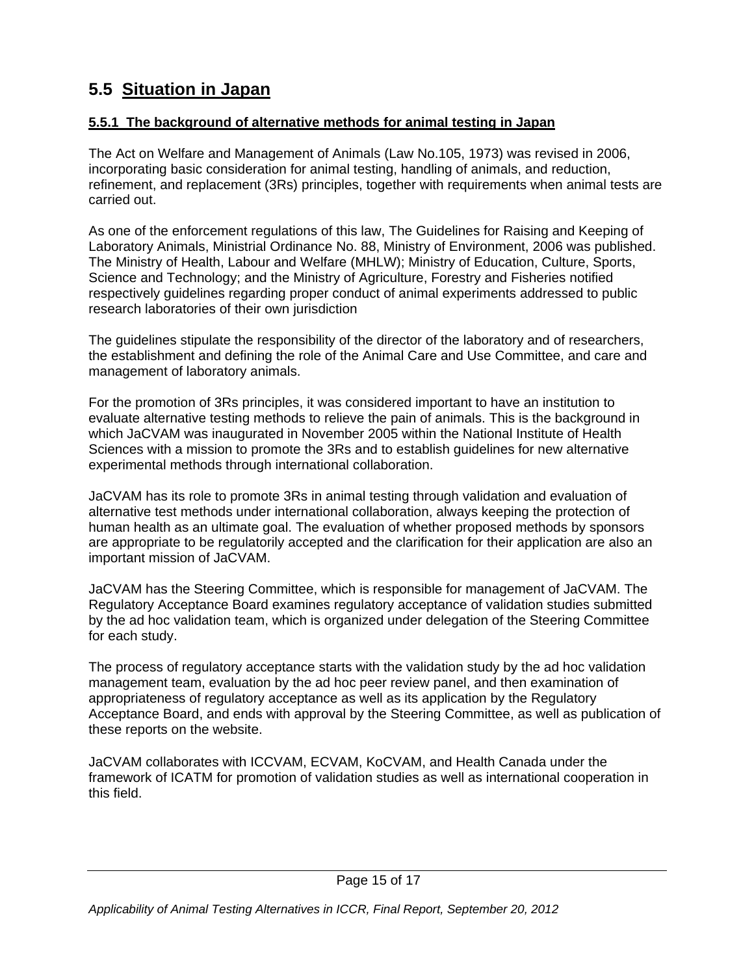# **5.5 Situation in Japan**

#### **5.5.1 The background of alternative methods for animal testing in Japan**

The Act on Welfare and Management of Animals (Law No.105, 1973) was revised in 2006, incorporating basic consideration for animal testing, handling of animals, and reduction, refinement, and replacement (3Rs) principles, together with requirements when animal tests are carried out.

As one of the enforcement regulations of this law, The Guidelines for Raising and Keeping of Laboratory Animals, Ministrial Ordinance No. 88, Ministry of Environment, 2006 was published. The Ministry of Health, Labour and Welfare (MHLW); Ministry of Education, Culture, Sports, Science and Technology; and the Ministry of Agriculture, Forestry and Fisheries notified respectively guidelines regarding proper conduct of animal experiments addressed to public research laboratories of their own jurisdiction

The guidelines stipulate the responsibility of the director of the laboratory and of researchers, the establishment and defining the role of the Animal Care and Use Committee, and care and management of laboratory animals.

For the promotion of 3Rs principles, it was considered important to have an institution to evaluate alternative testing methods to relieve the pain of animals. This is the background in which JaCVAM was inaugurated in November 2005 within the National Institute of Health Sciences with a mission to promote the 3Rs and to establish guidelines for new alternative experimental methods through international collaboration.

JaCVAM has its role to promote 3Rs in animal testing through validation and evaluation of alternative test methods under international collaboration, always keeping the protection of human health as an ultimate goal. The evaluation of whether proposed methods by sponsors are appropriate to be regulatorily accepted and the clarification for their application are also an important mission of JaCVAM.

JaCVAM has the Steering Committee, which is responsible for management of JaCVAM. The Regulatory Acceptance Board examines regulatory acceptance of validation studies submitted by the ad hoc validation team, which is organized under delegation of the Steering Committee for each study.

The process of regulatory acceptance starts with the validation study by the ad hoc validation management team, evaluation by the ad hoc peer review panel, and then examination of appropriateness of regulatory acceptance as well as its application by the Regulatory Acceptance Board, and ends with approval by the Steering Committee, as well as publication of these reports on the website.

JaCVAM collaborates with ICCVAM, ECVAM, KoCVAM, and Health Canada under the framework of ICATM for promotion of validation studies as well as international cooperation in this field.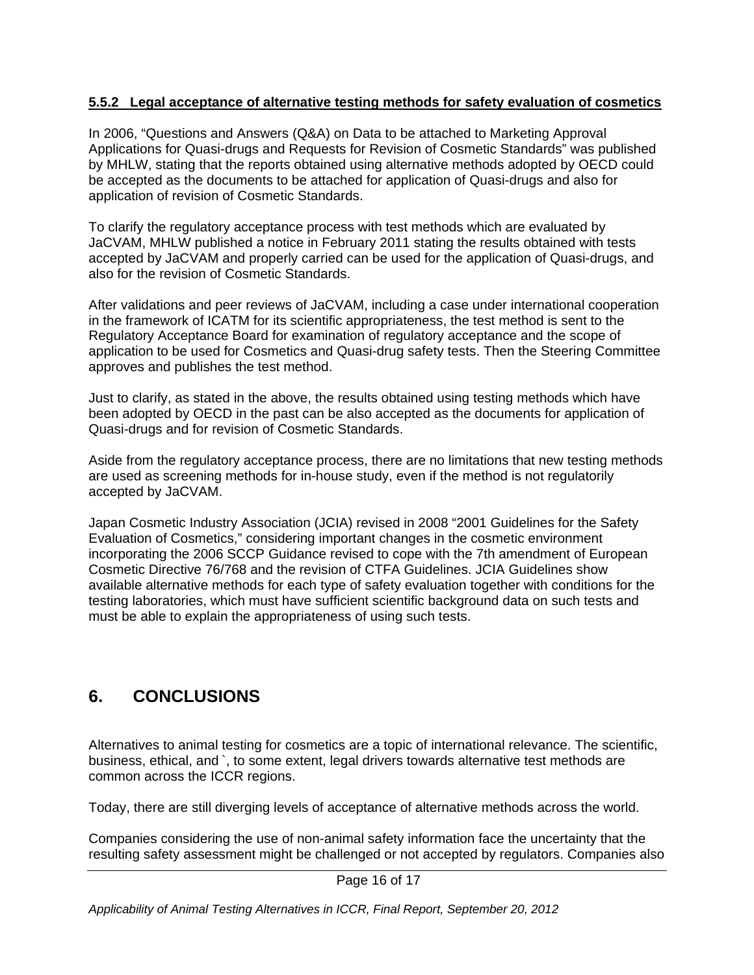#### **5.5.2 Legal acceptance of alternative testing methods for safety evaluation of cosmetics**

In 2006, "Questions and Answers (Q&A) on Data to be attached to Marketing Approval Applications for Quasi-drugs and Requests for Revision of Cosmetic Standards" was published by MHLW, stating that the reports obtained using alternative methods adopted by OECD could be accepted as the documents to be attached for application of Quasi-drugs and also for application of revision of Cosmetic Standards.

To clarify the regulatory acceptance process with test methods which are evaluated by JaCVAM, MHLW published a notice in February 2011 stating the results obtained with tests accepted by JaCVAM and properly carried can be used for the application of Quasi-drugs, and also for the revision of Cosmetic Standards.

After validations and peer reviews of JaCVAM, including a case under international cooperation in the framework of ICATM for its scientific appropriateness, the test method is sent to the Regulatory Acceptance Board for examination of regulatory acceptance and the scope of application to be used for Cosmetics and Quasi-drug safety tests. Then the Steering Committee approves and publishes the test method.

Just to clarify, as stated in the above, the results obtained using testing methods which have been adopted by OECD in the past can be also accepted as the documents for application of Quasi-drugs and for revision of Cosmetic Standards.

Aside from the regulatory acceptance process, there are no limitations that new testing methods are used as screening methods for in-house study, even if the method is not regulatorily accepted by JaCVAM.

Japan Cosmetic Industry Association (JCIA) revised in 2008 "2001 Guidelines for the Safety Evaluation of Cosmetics," considering important changes in the cosmetic environment incorporating the 2006 SCCP Guidance revised to cope with the 7th amendment of European Cosmetic Directive 76/768 and the revision of CTFA Guidelines. JCIA Guidelines show available alternative methods for each type of safety evaluation together with conditions for the testing laboratories, which must have sufficient scientific background data on such tests and must be able to explain the appropriateness of using such tests.

# **6. CONCLUSIONS**

Alternatives to animal testing for cosmetics are a topic of international relevance. The scientific, business, ethical, and `, to some extent, legal drivers towards alternative test methods are common across the ICCR regions.

Today, there are still diverging levels of acceptance of alternative methods across the world.

Companies considering the use of non-animal safety information face the uncertainty that the resulting safety assessment might be challenged or not accepted by regulators. Companies also